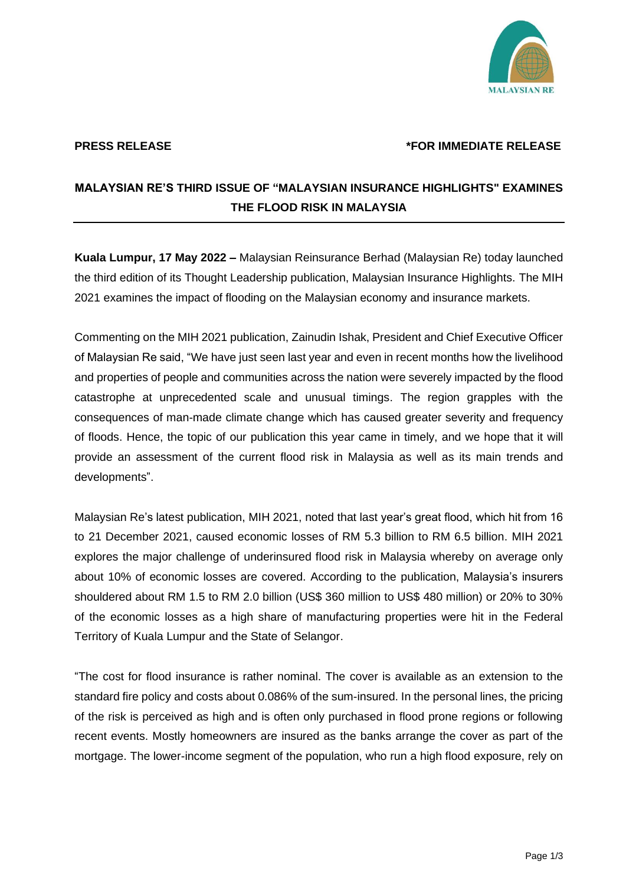

## **PRESS RELEASE \*FOR IMMEDIATE RELEASE**

## **MALAYSIAN RE'S THIRD ISSUE OF "MALAYSIAN INSURANCE HIGHLIGHTS" EXAMINES THE FLOOD RISK IN MALAYSIA**

**Kuala Lumpur, 17 May 2022 –** Malaysian Reinsurance Berhad (Malaysian Re) today launched the third edition of its Thought Leadership publication, Malaysian Insurance Highlights. The MIH 2021 examines the impact of flooding on the Malaysian economy and insurance markets.

Commenting on the MIH 2021 publication, Zainudin Ishak, President and Chief Executive Officer of Malaysian Re said, "We have just seen last year and even in recent months how the livelihood and properties of people and communities across the nation were severely impacted by the flood catastrophe at unprecedented scale and unusual timings. The region grapples with the consequences of man-made climate change which has caused greater severity and frequency of floods. Hence, the topic of our publication this year came in timely, and we hope that it will provide an assessment of the current flood risk in Malaysia as well as its main trends and developments".

Malaysian Re's latest publication, MIH 2021, noted that last year's great flood, which hit from 16 to 21 December 2021, caused economic losses of RM 5.3 billion to RM 6.5 billion. MIH 2021 explores the major challenge of underinsured flood risk in Malaysia whereby on average only about 10% of economic losses are covered. According to the publication, Malaysia's insurers shouldered about RM 1.5 to RM 2.0 billion (US\$ 360 million to US\$ 480 million) or 20% to 30% of the economic losses as a high share of manufacturing properties were hit in the Federal Territory of Kuala Lumpur and the State of Selangor.

"The cost for flood insurance is rather nominal. The cover is available as an extension to the standard fire policy and costs about 0.086% of the sum-insured. In the personal lines, the pricing of the risk is perceived as high and is often only purchased in flood prone regions or following recent events. Mostly homeowners are insured as the banks arrange the cover as part of the mortgage. The lower-income segment of the population, who run a high flood exposure, rely on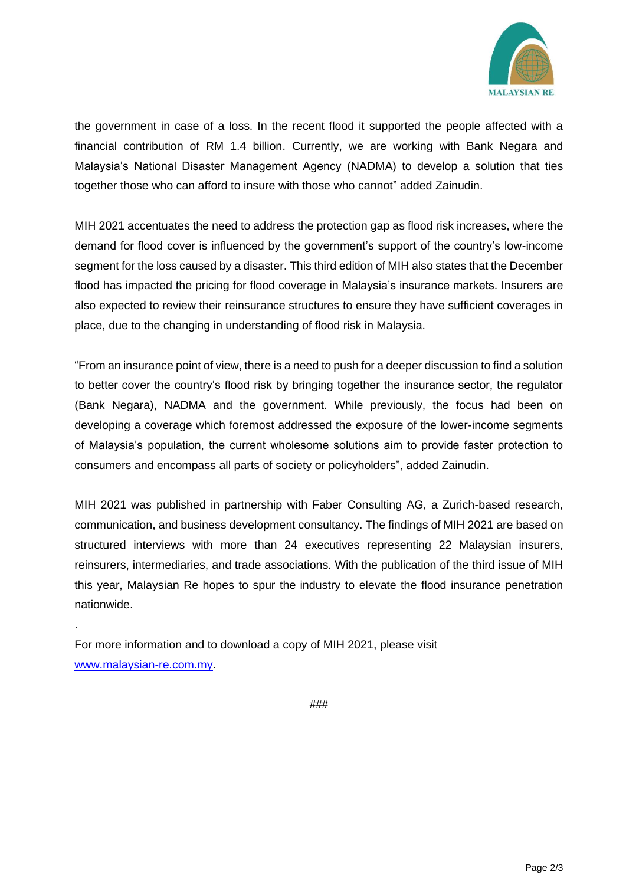

the government in case of a loss. In the recent flood it supported the people affected with a financial contribution of RM 1.4 billion. Currently, we are working with Bank Negara and Malaysia's National Disaster Management Agency (NADMA) to develop a solution that ties together those who can afford to insure with those who cannot" added Zainudin.

MIH 2021 accentuates the need to address the protection gap as flood risk increases, where the demand for flood cover is influenced by the government's support of the country's low-income segment for the loss caused by a disaster. This third edition of MIH also states that the December flood has impacted the pricing for flood coverage in Malaysia's insurance markets. Insurers are also expected to review their reinsurance structures to ensure they have sufficient coverages in place, due to the changing in understanding of flood risk in Malaysia.

"From an insurance point of view, there is a need to push for a deeper discussion to find a solution to better cover the country's flood risk by bringing together the insurance sector, the regulator (Bank Negara), NADMA and the government. While previously, the focus had been on developing a coverage which foremost addressed the exposure of the lower-income segments of Malaysia's population, the current wholesome solutions aim to provide faster protection to consumers and encompass all parts of society or policyholders", added Zainudin.

MIH 2021 was published in partnership with Faber Consulting AG, a Zurich-based research, communication, and business development consultancy. The findings of MIH 2021 are based on structured interviews with more than 24 executives representing 22 Malaysian insurers, reinsurers, intermediaries, and trade associations. With the publication of the third issue of MIH this year, Malaysian Re hopes to spur the industry to elevate the flood insurance penetration nationwide.

For more information and to download a copy of MIH 2021, please visit [www.malaysian-re.com.my.](http://www.malaysian-re.com.my/)

.

###